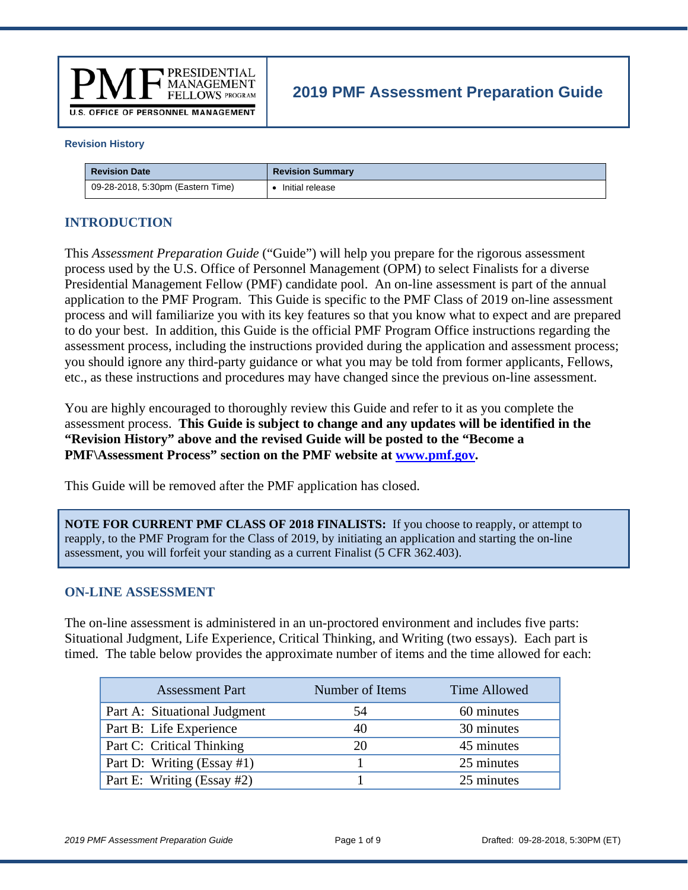

# **2019 PMF Assessment Preparation Guide**

#### **Revision History**

| <b>Revision Date</b>              | <b>Revision Summary</b> |
|-----------------------------------|-------------------------|
| 09-28-2018, 5:30pm (Eastern Time) | Initial release         |

#### **INTRODUCTION**

This *Assessment Preparation Guide* ("Guide") will help you prepare for the rigorous assessment process used by the U.S. Office of Personnel Management (OPM) to select Finalists for a diverse Presidential Management Fellow (PMF) candidate pool. An on-line assessment is part of the annual application to the PMF Program. This Guide is specific to the PMF Class of 2019 on-line assessment process and will familiarize you with its key features so that you know what to expect and are prepared to do your best. In addition, this Guide is the official PMF Program Office instructions regarding the assessment process, including the instructions provided during the application and assessment process; you should ignore any third-party guidance or what you may be told from former applicants, Fellows, etc., as these instructions and procedures may have changed since the previous on-line assessment.

You are highly encouraged to thoroughly review this Guide and refer to it as you complete the assessment process. **This Guide is subject to change and any updates will be identified in the "Revision History" above and the revised Guide will be posted to the "Become a PMF\Assessment Process" section on the PMF website at www.pmf.gov.** 

This Guide will be removed after the PMF application has closed.

**NOTE FOR CURRENT PMF CLASS OF 2018 FINALISTS:** If you choose to reapply, or attempt to reapply, to the PMF Program for the Class of 2019, by initiating an application and starting the on-line assessment, you will forfeit your standing as a current Finalist (5 CFR 362.403).

#### **ON-LINE ASSESSMENT**

The on-line assessment is administered in an un-proctored environment and includes five parts: Situational Judgment, Life Experience, Critical Thinking, and Writing (two essays). Each part is timed. The table below provides the approximate number of items and the time allowed for each:

| <b>Assessment Part</b>       | Number of Items | Time Allowed |
|------------------------------|-----------------|--------------|
| Part A: Situational Judgment | 54              | 60 minutes   |
| Part B: Life Experience      | 40              | 30 minutes   |
| Part C: Critical Thinking    | 20              | 45 minutes   |
| Part D: Writing (Essay #1)   |                 | 25 minutes   |
| Part E: Writing (Essay #2)   |                 | 25 minutes   |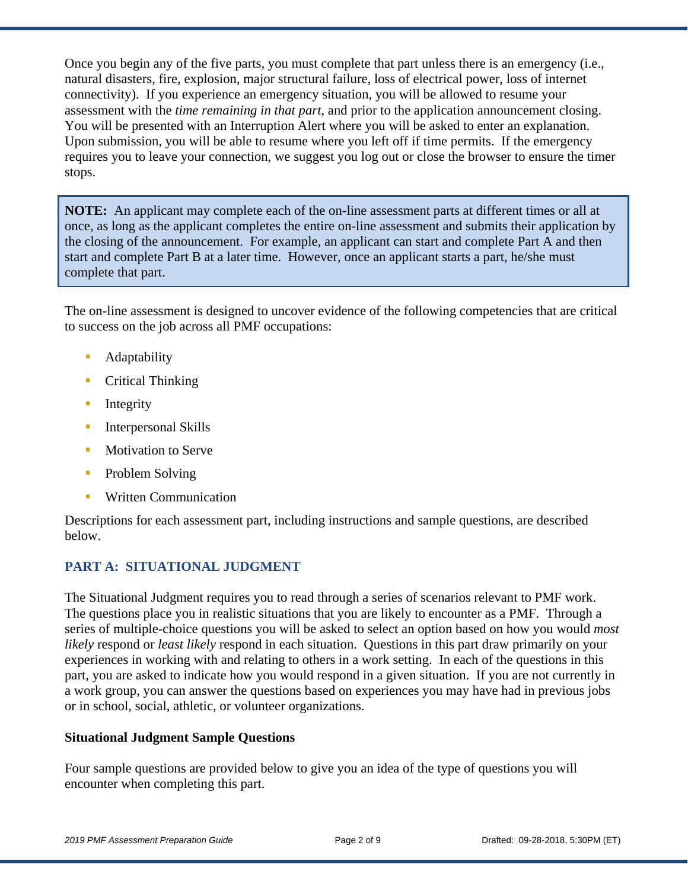Once you begin any of the five parts, you must complete that part unless there is an emergency (i.e., natural disasters, fire, explosion, major structural failure, loss of electrical power, loss of internet connectivity). If you experience an emergency situation, you will be allowed to resume your assessment with the *time remaining in that part*, and prior to the application announcement closing. You will be presented with an Interruption Alert where you will be asked to enter an explanation. Upon submission, you will be able to resume where you left off if time permits. If the emergency requires you to leave your connection, we suggest you log out or close the browser to ensure the timer stops.

**NOTE:** An applicant may complete each of the on-line assessment parts at different times or all at once, as long as the applicant completes the entire on-line assessment and submits their application by the closing of the announcement. For example, an applicant can start and complete Part A and then start and complete Part B at a later time. However, once an applicant starts a part, he/she must complete that part.

The on-line assessment is designed to uncover evidence of the following competencies that are critical to success on the job across all PMF occupations:

- **Adaptability**
- **Critical Thinking**
- **Integrity**
- **Interpersonal Skills**
- **Motivation to Serve**
- **•** Problem Solving
- Written Communication

Descriptions for each assessment part, including instructions and sample questions, are described below.

## **PART A: SITUATIONAL JUDGMENT**

The Situational Judgment requires you to read through a series of scenarios relevant to PMF work. The questions place you in realistic situations that you are likely to encounter as a PMF. Through a series of multiple-choice questions you will be asked to select an option based on how you would *most likely* respond or *least likely* respond in each situation. Questions in this part draw primarily on your experiences in working with and relating to others in a work setting. In each of the questions in this part, you are asked to indicate how you would respond in a given situation. If you are not currently in a work group, you can answer the questions based on experiences you may have had in previous jobs or in school, social, athletic, or volunteer organizations.

### **Situational Judgment Sample Questions**

Four sample questions are provided below to give you an idea of the type of questions you will encounter when completing this part.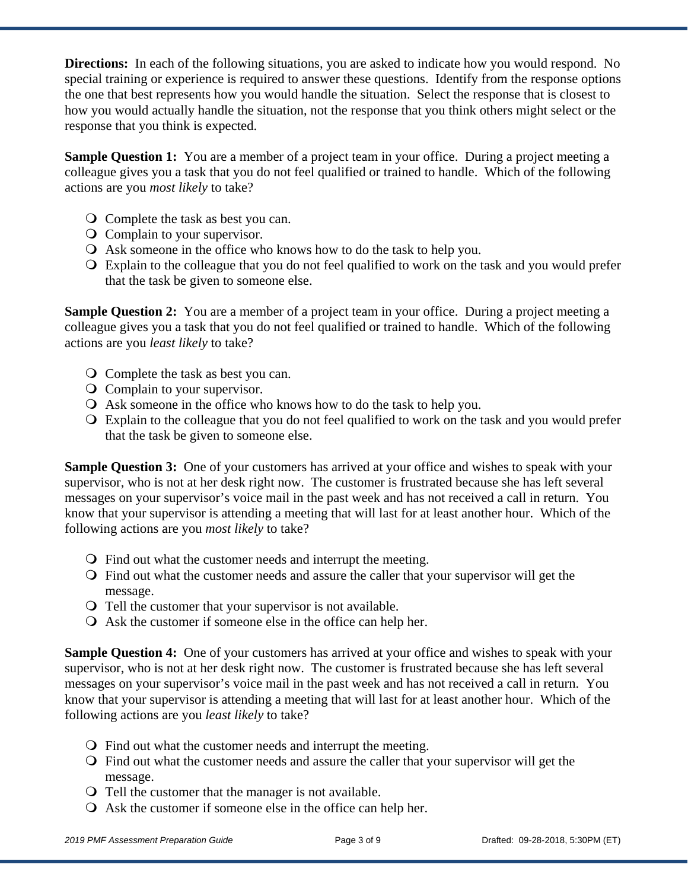**Directions:** In each of the following situations, you are asked to indicate how you would respond. No special training or experience is required to answer these questions. Identify from the response options the one that best represents how you would handle the situation. Select the response that is closest to how you would actually handle the situation, not the response that you think others might select or the response that you think is expected.

**Sample Question 1:** You are a member of a project team in your office. During a project meeting a colleague gives you a task that you do not feel qualified or trained to handle. Which of the following actions are you *most likely* to take?

- Complete the task as best you can.
- Complain to your supervisor.
- Ask someone in the office who knows how to do the task to help you.
- Explain to the colleague that you do not feel qualified to work on the task and you would prefer that the task be given to someone else.

**Sample Question 2:** You are a member of a project team in your office. During a project meeting a colleague gives you a task that you do not feel qualified or trained to handle. Which of the following actions are you *least likely* to take?

- Complete the task as best you can.
- Complain to your supervisor.
- Ask someone in the office who knows how to do the task to help you.
- Explain to the colleague that you do not feel qualified to work on the task and you would prefer that the task be given to someone else.

**Sample Question 3:** One of your customers has arrived at your office and wishes to speak with your supervisor, who is not at her desk right now. The customer is frustrated because she has left several messages on your supervisor's voice mail in the past week and has not received a call in return. You know that your supervisor is attending a meeting that will last for at least another hour. Which of the following actions are you *most likely* to take?

- Find out what the customer needs and interrupt the meeting.
- Find out what the customer needs and assure the caller that your supervisor will get the message.
- Tell the customer that your supervisor is not available.
- Ask the customer if someone else in the office can help her.

**Sample Question 4:** One of your customers has arrived at your office and wishes to speak with your supervisor, who is not at her desk right now. The customer is frustrated because she has left several messages on your supervisor's voice mail in the past week and has not received a call in return. You know that your supervisor is attending a meeting that will last for at least another hour. Which of the following actions are you *least likely* to take?

- Find out what the customer needs and interrupt the meeting.
- Find out what the customer needs and assure the caller that your supervisor will get the message.
- Tell the customer that the manager is not available.
- Ask the customer if someone else in the office can help her.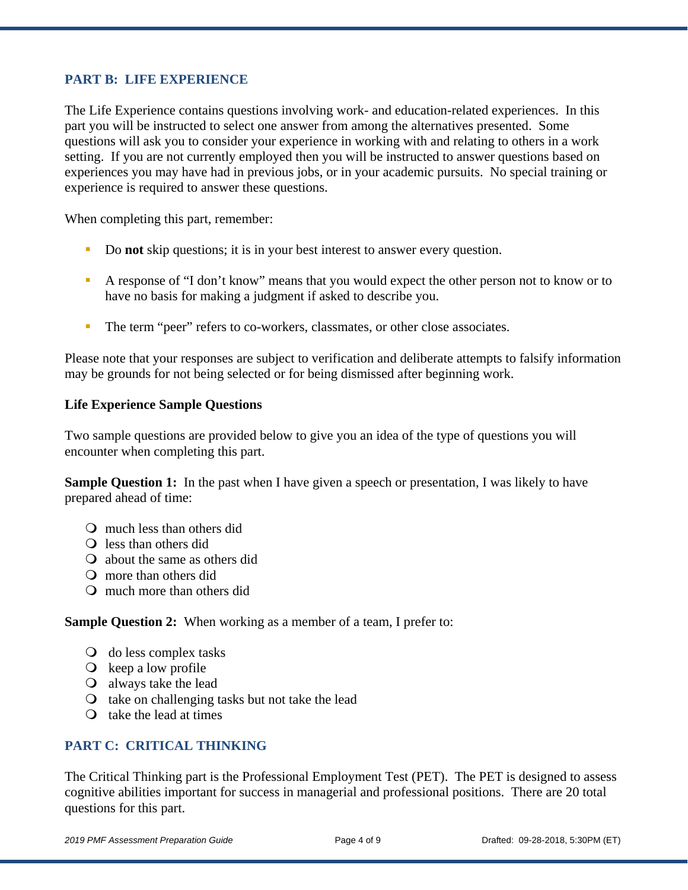#### **PART B: LIFE EXPERIENCE**

The Life Experience contains questions involving work- and education-related experiences. In this part you will be instructed to select one answer from among the alternatives presented. Some questions will ask you to consider your experience in working with and relating to others in a work setting. If you are not currently employed then you will be instructed to answer questions based on experiences you may have had in previous jobs, or in your academic pursuits. No special training or experience is required to answer these questions.

When completing this part, remember:

- Do **not** skip questions; it is in your best interest to answer every question.
- A response of "I don't know" means that you would expect the other person not to know or to have no basis for making a judgment if asked to describe you.
- The term "peer" refers to co-workers, classmates, or other close associates.

Please note that your responses are subject to verification and deliberate attempts to falsify information may be grounds for not being selected or for being dismissed after beginning work.

#### **Life Experience Sample Questions**

Two sample questions are provided below to give you an idea of the type of questions you will encounter when completing this part.

**Sample Question 1:** In the past when I have given a speech or presentation, I was likely to have prepared ahead of time:

- much less than others did
- Q less than others did
- about the same as others did
- more than others did
- much more than others did

**Sample Question 2:** When working as a member of a team, I prefer to:

- do less complex tasks
- $\overline{Q}$  keep a low profile
- always take the lead
- $\circ$  take on challenging tasks but not take the lead
- $\Omega$  take the lead at times

#### **PART C: CRITICAL THINKING**

The Critical Thinking part is the Professional Employment Test (PET). The PET is designed to assess cognitive abilities important for success in managerial and professional positions. There are 20 total questions for this part.

*2019 PMF Assessment Preparation Guide* Page 4 of 9 Drafted: 09-28-2018, 5:30PM (ET)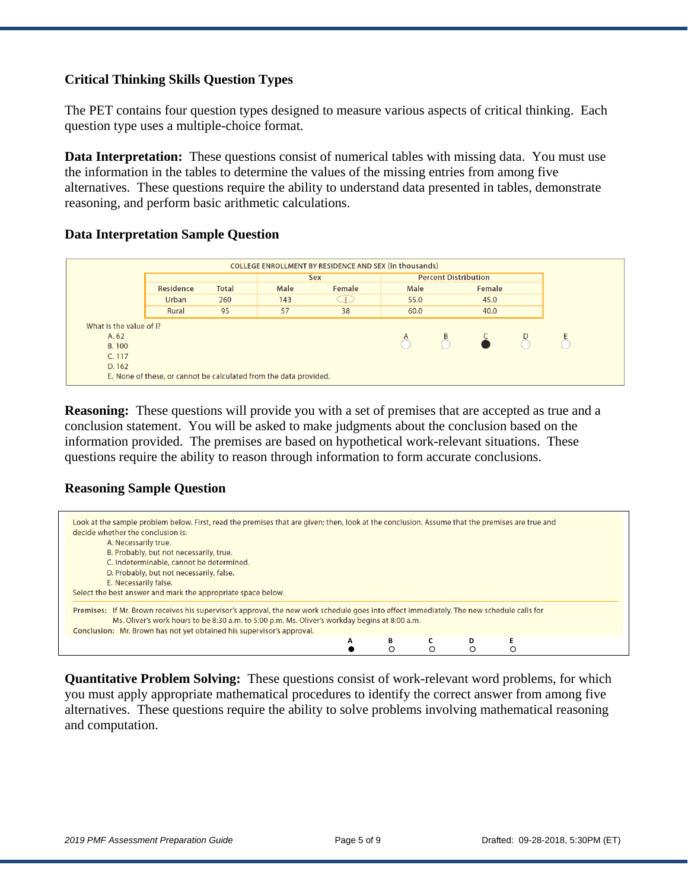#### **Critical Thinking Skills Question Types**

The PET contains four question types designed to measure various aspects of critical thinking. Each question type uses a multiple-choice format.

**Data Interpretation:** These questions consist of numerical tables with missing data. You must use the information in the tables to determine the values of the missing entries from among five alternatives. These questions require the ability to understand data presented in tables, demonstrate reasoning, and perform basic arithmetic calculations.

#### **Data Interpretation Sample Question**

|                         |                                                                   |              |      | COLLEGE ENROLLMENT BY RESIDENCE AND SEX (in thousands)<br><b>Percent Distribution</b><br><b>Sex</b> |             |  |                                                                                                               |  |  |
|-------------------------|-------------------------------------------------------------------|--------------|------|-----------------------------------------------------------------------------------------------------|-------------|--|---------------------------------------------------------------------------------------------------------------|--|--|
|                         | Residence                                                         | <b>Total</b> | Male | Female                                                                                              | <b>Male</b> |  | Female                                                                                                        |  |  |
|                         | <b>Urban</b>                                                      | 260          | 143  |                                                                                                     | 55.0        |  | 45.0                                                                                                          |  |  |
|                         | Rural                                                             | 95           | 57   | 38                                                                                                  | 60.0        |  | 40.0                                                                                                          |  |  |
| What is the value of I? |                                                                   |              |      |                                                                                                     |             |  |                                                                                                               |  |  |
| A. 62                   |                                                                   |              |      |                                                                                                     | $\bigcirc$  |  | $\begin{array}{ccc} \mathbf{B} & \mathbf{C} & \mathbf{D} \\ \mathbf{C} & \mathbf{C} & \mathbf{D} \end{array}$ |  |  |
| <b>B.100</b>            |                                                                   |              |      |                                                                                                     |             |  |                                                                                                               |  |  |
| C. 117                  |                                                                   |              |      |                                                                                                     |             |  |                                                                                                               |  |  |
| D. 162                  |                                                                   |              |      |                                                                                                     |             |  |                                                                                                               |  |  |
|                         | E. None of these, or cannot be calculated from the data provided. |              |      |                                                                                                     |             |  |                                                                                                               |  |  |

**Reasoning:** These questions will provide you with a set of premises that are accepted as true and a conclusion statement. You will be asked to make judgments about the conclusion based on the information provided. The premises are based on hypothetical work-relevant situations. These questions require the ability to reason through information to form accurate conclusions.

#### **Reasoning Sample Question**

| Look at the sample problem below. First, read the premises that are given; then, look at the conclusion. Assume that the premises are true and                                                                                                                                                                      |
|---------------------------------------------------------------------------------------------------------------------------------------------------------------------------------------------------------------------------------------------------------------------------------------------------------------------|
| decide whether the conclusion is:                                                                                                                                                                                                                                                                                   |
| A. Necessarily true.                                                                                                                                                                                                                                                                                                |
| B. Probably, but not necessarily, true.                                                                                                                                                                                                                                                                             |
|                                                                                                                                                                                                                                                                                                                     |
| C. Indeterminable, cannot be determined.                                                                                                                                                                                                                                                                            |
| D. Probably, but not necessarily, false.                                                                                                                                                                                                                                                                            |
| E. Necessarily false.                                                                                                                                                                                                                                                                                               |
| Select the best answer and mark the appropriate space below.                                                                                                                                                                                                                                                        |
| Premises: If Mr. Brown receives his supervisor's approval, the new work schedule goes into effect immediately. The new schedule calls for<br>Ms. Oliver's work hours to be 8:30 a.m. to 5:00 p.m. Ms. Oliver's workday begins at 8:00 a.m.<br>Conclusion: Mr. Brown has not yet obtained his supervisor's approval. |
| В<br>А                                                                                                                                                                                                                                                                                                              |
| Ω                                                                                                                                                                                                                                                                                                                   |

**Quantitative Problem Solving:** These questions consist of work-relevant word problems, for which you must apply appropriate mathematical procedures to identify the correct answer from among five alternatives. These questions require the ability to solve problems involving mathematical reasoning and computation.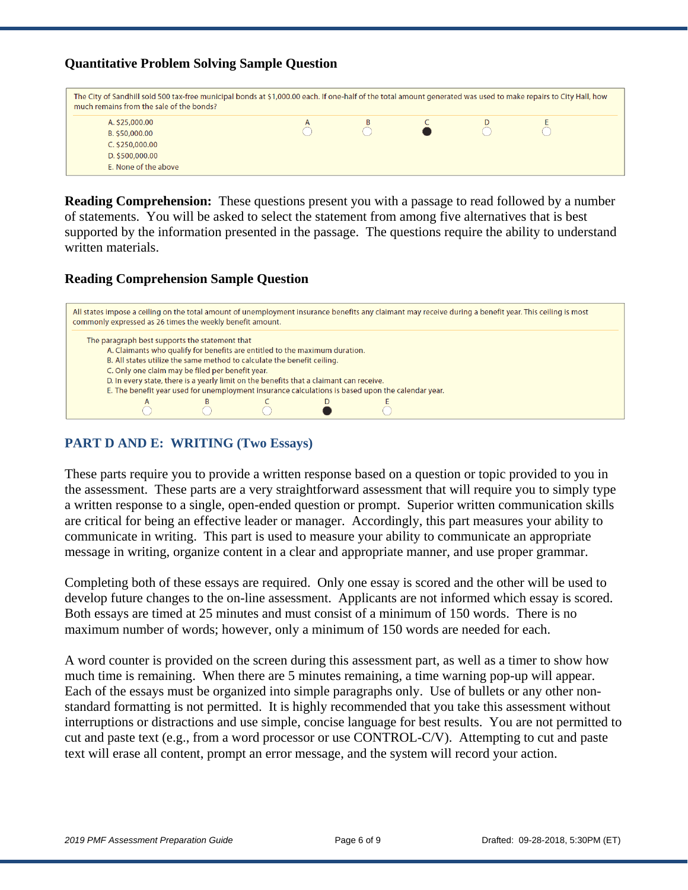#### **Quantitative Problem Solving Sample Question**



**Reading Comprehension:** These questions present you with a passage to read followed by a number of statements. You will be asked to select the statement from among five alternatives that is best supported by the information presented in the passage. The questions require the ability to understand written materials.

#### **Reading Comprehension Sample Question**



#### **PART D AND E: WRITING (Two Essays)**

These parts require you to provide a written response based on a question or topic provided to you in the assessment. These parts are a very straightforward assessment that will require you to simply type a written response to a single, open-ended question or prompt. Superior written communication skills are critical for being an effective leader or manager. Accordingly, this part measures your ability to communicate in writing. This part is used to measure your ability to communicate an appropriate message in writing, organize content in a clear and appropriate manner, and use proper grammar.

Completing both of these essays are required. Only one essay is scored and the other will be used to develop future changes to the on-line assessment. Applicants are not informed which essay is scored. Both essays are timed at 25 minutes and must consist of a minimum of 150 words. There is no maximum number of words; however, only a minimum of 150 words are needed for each.

A word counter is provided on the screen during this assessment part, as well as a timer to show how much time is remaining. When there are 5 minutes remaining, a time warning pop-up will appear. Each of the essays must be organized into simple paragraphs only. Use of bullets or any other nonstandard formatting is not permitted. It is highly recommended that you take this assessment without interruptions or distractions and use simple, concise language for best results. You are not permitted to cut and paste text (e.g., from a word processor or use CONTROL-C/V). Attempting to cut and paste text will erase all content, prompt an error message, and the system will record your action.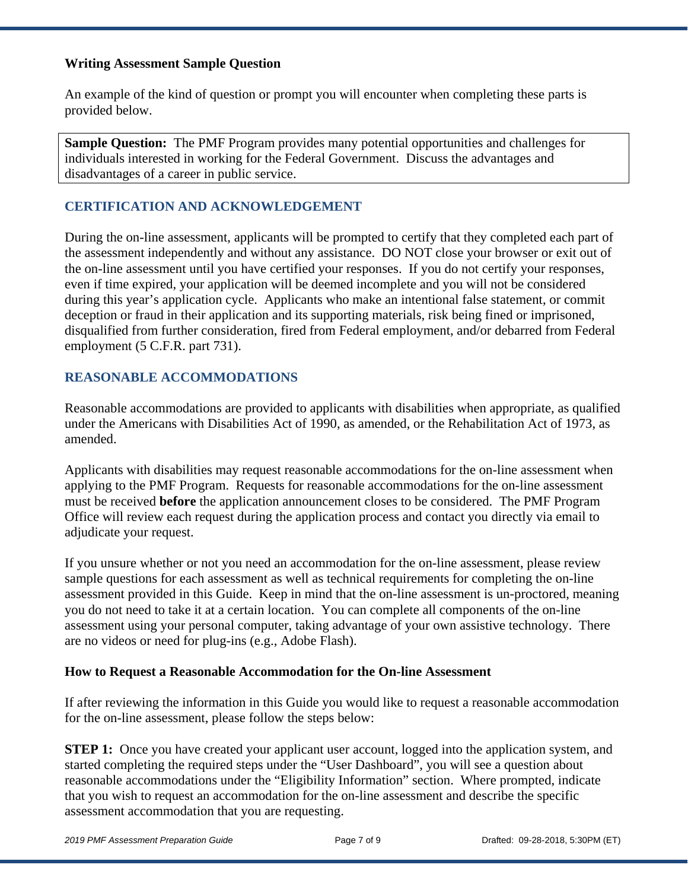#### **Writing Assessment Sample Question**

An example of the kind of question or prompt you will encounter when completing these parts is provided below.

**Sample Question:** The PMF Program provides many potential opportunities and challenges for individuals interested in working for the Federal Government. Discuss the advantages and disadvantages of a career in public service.

### **CERTIFICATION AND ACKNOWLEDGEMENT**

During the on-line assessment, applicants will be prompted to certify that they completed each part of the assessment independently and without any assistance. DO NOT close your browser or exit out of the on-line assessment until you have certified your responses. If you do not certify your responses, even if time expired, your application will be deemed incomplete and you will not be considered during this year's application cycle. Applicants who make an intentional false statement, or commit deception or fraud in their application and its supporting materials, risk being fined or imprisoned, disqualified from further consideration, fired from Federal employment, and/or debarred from Federal employment (5 C.F.R. part 731).

### **REASONABLE ACCOMMODATIONS**

Reasonable accommodations are provided to applicants with disabilities when appropriate, as qualified under the Americans with Disabilities Act of 1990, as amended, or the Rehabilitation Act of 1973, as amended.

Applicants with disabilities may request reasonable accommodations for the on-line assessment when applying to the PMF Program. Requests for reasonable accommodations for the on-line assessment must be received **before** the application announcement closes to be considered. The PMF Program Office will review each request during the application process and contact you directly via email to adjudicate your request.

If you unsure whether or not you need an accommodation for the on-line assessment, please review sample questions for each assessment as well as technical requirements for completing the on-line assessment provided in this Guide. Keep in mind that the on-line assessment is un-proctored, meaning you do not need to take it at a certain location. You can complete all components of the on-line assessment using your personal computer, taking advantage of your own assistive technology. There are no videos or need for plug-ins (e.g., Adobe Flash).

### **How to Request a Reasonable Accommodation for the On-line Assessment**

If after reviewing the information in this Guide you would like to request a reasonable accommodation for the on-line assessment, please follow the steps below:

**STEP 1:** Once you have created your applicant user account, logged into the application system, and started completing the required steps under the "User Dashboard", you will see a question about reasonable accommodations under the "Eligibility Information" section. Where prompted, indicate that you wish to request an accommodation for the on-line assessment and describe the specific assessment accommodation that you are requesting.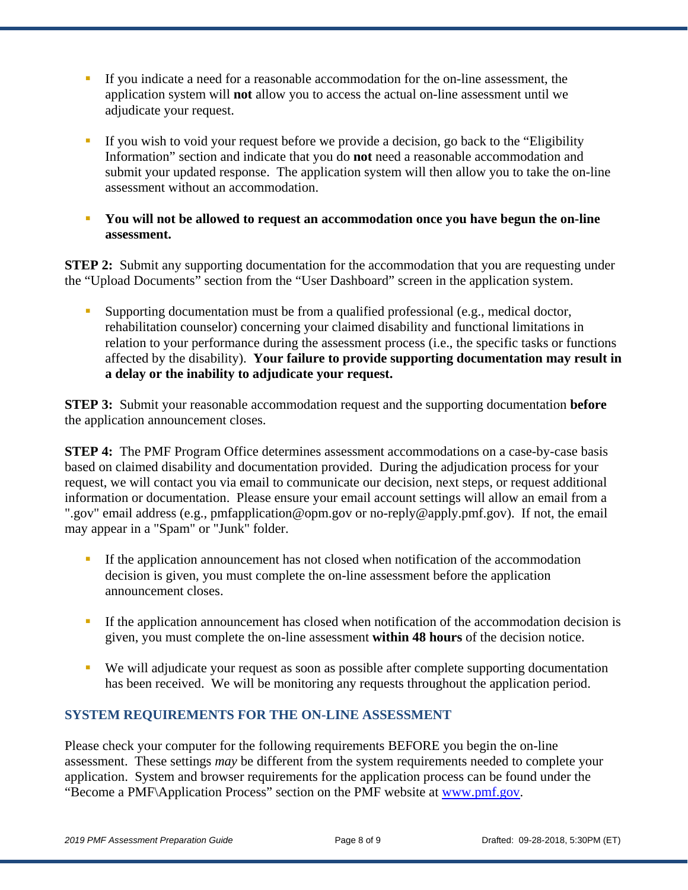- If you indicate a need for a reasonable accommodation for the on-line assessment, the application system will **not** allow you to access the actual on-line assessment until we adjudicate your request.
- If you wish to void your request before we provide a decision, go back to the "Eligibility" Information" section and indicate that you do **not** need a reasonable accommodation and submit your updated response. The application system will then allow you to take the on-line assessment without an accommodation.
- **You will not be allowed to request an accommodation once you have begun the on-line assessment.**

**STEP 2:** Submit any supporting documentation for the accommodation that you are requesting under the "Upload Documents" section from the "User Dashboard" screen in the application system.

**Supporting documentation must be from a qualified professional (e.g., medical doctor,** rehabilitation counselor) concerning your claimed disability and functional limitations in relation to your performance during the assessment process (i.e., the specific tasks or functions affected by the disability). **Your failure to provide supporting documentation may result in a delay or the inability to adjudicate your request.** 

**STEP 3:** Submit your reasonable accommodation request and the supporting documentation **before** the application announcement closes.

**STEP 4:** The PMF Program Office determines assessment accommodations on a case-by-case basis based on claimed disability and documentation provided. During the adjudication process for your request, we will contact you via email to communicate our decision, next steps, or request additional information or documentation. Please ensure your email account settings will allow an email from a ".gov" email address (e.g., pmfapplication@opm.gov or no-reply@apply.pmf.gov). If not, the email may appear in a "Spam" or "Junk" folder.

- If the application announcement has not closed when notification of the accommodation decision is given, you must complete the on-line assessment before the application announcement closes.
- If the application announcement has closed when notification of the accommodation decision is given, you must complete the on-line assessment **within 48 hours** of the decision notice.
- We will adjudicate your request as soon as possible after complete supporting documentation has been received. We will be monitoring any requests throughout the application period.

## **SYSTEM REQUIREMENTS FOR THE ON-LINE ASSESSMENT**

Please check your computer for the following requirements BEFORE you begin the on-line assessment. These settings *may* be different from the system requirements needed to complete your application. System and browser requirements for the application process can be found under the "Become a PMF\Application Process" section on the PMF website at www.pmf.gov.